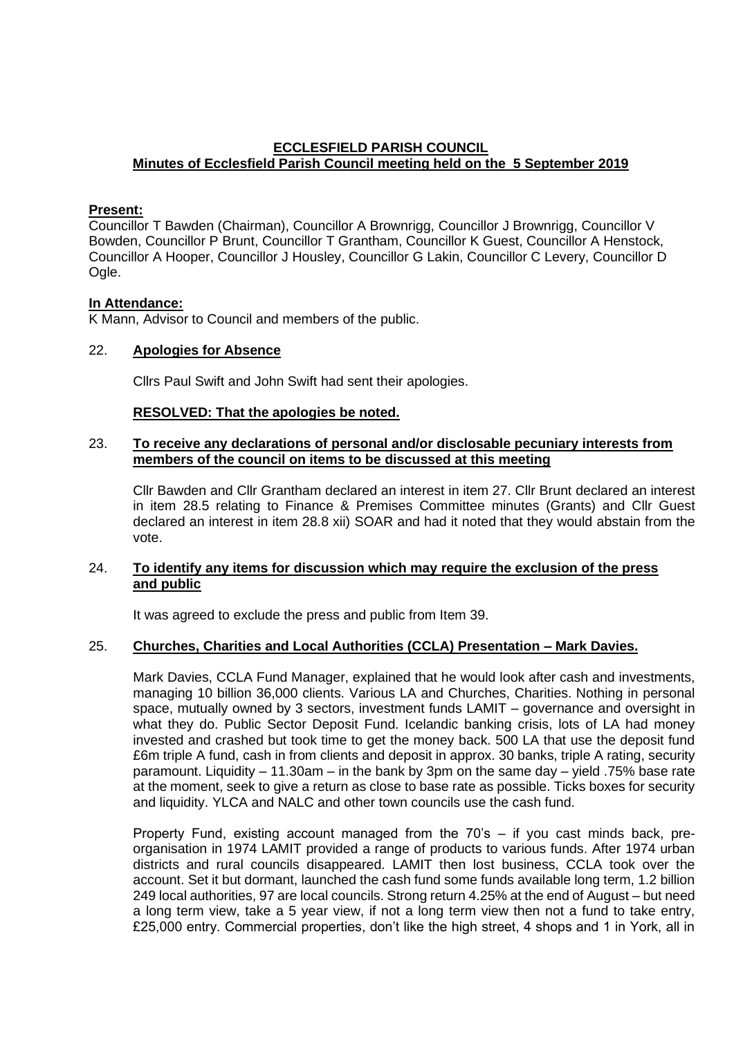## **ECCLESFIELD PARISH COUNCIL Minutes of Ecclesfield Parish Council meeting held on the 5 September 2019**

#### **Present:**

Councillor T Bawden (Chairman), Councillor A Brownrigg, Councillor J Brownrigg, Councillor V Bowden, Councillor P Brunt, Councillor T Grantham, Councillor K Guest, Councillor A Henstock, Councillor A Hooper, Councillor J Housley, Councillor G Lakin, Councillor C Levery, Councillor D Ogle.

### **In Attendance:**

K Mann, Advisor to Council and members of the public.

### 22. **Apologies for Absence**

Cllrs Paul Swift and John Swift had sent their apologies.

### **RESOLVED: That the apologies be noted.**

### 23. **To receive any declarations of personal and/or disclosable pecuniary interests from members of the council on items to be discussed at this meeting**

Cllr Bawden and Cllr Grantham declared an interest in item 27. Cllr Brunt declared an interest in item 28.5 relating to Finance & Premises Committee minutes (Grants) and Cllr Guest declared an interest in item 28.8 xii) SOAR and had it noted that they would abstain from the vote.

### 24. **To identify any items for discussion which may require the exclusion of the press and public**

It was agreed to exclude the press and public from Item 39.

#### 25. **Churches, Charities and Local Authorities (CCLA) Presentation – Mark Davies.**

Mark Davies, CCLA Fund Manager, explained that he would look after cash and investments, managing 10 billion 36,000 clients. Various LA and Churches, Charities. Nothing in personal space, mutually owned by 3 sectors, investment funds LAMIT – governance and oversight in what they do. Public Sector Deposit Fund. Icelandic banking crisis, lots of LA had money invested and crashed but took time to get the money back. 500 LA that use the deposit fund £6m triple A fund, cash in from clients and deposit in approx. 30 banks, triple A rating, security paramount. Liquidity – 11.30am – in the bank by 3pm on the same day – yield .75% base rate at the moment, seek to give a return as close to base rate as possible. Ticks boxes for security and liquidity. YLCA and NALC and other town councils use the cash fund.

Property Fund, existing account managed from the 70's – if you cast minds back, preorganisation in 1974 LAMIT provided a range of products to various funds. After 1974 urban districts and rural councils disappeared. LAMIT then lost business, CCLA took over the account. Set it but dormant, launched the cash fund some funds available long term, 1.2 billion 249 local authorities, 97 are local councils. Strong return 4.25% at the end of August – but need a long term view, take a 5 year view, if not a long term view then not a fund to take entry, £25,000 entry. Commercial properties, don't like the high street, 4 shops and 1 in York, all in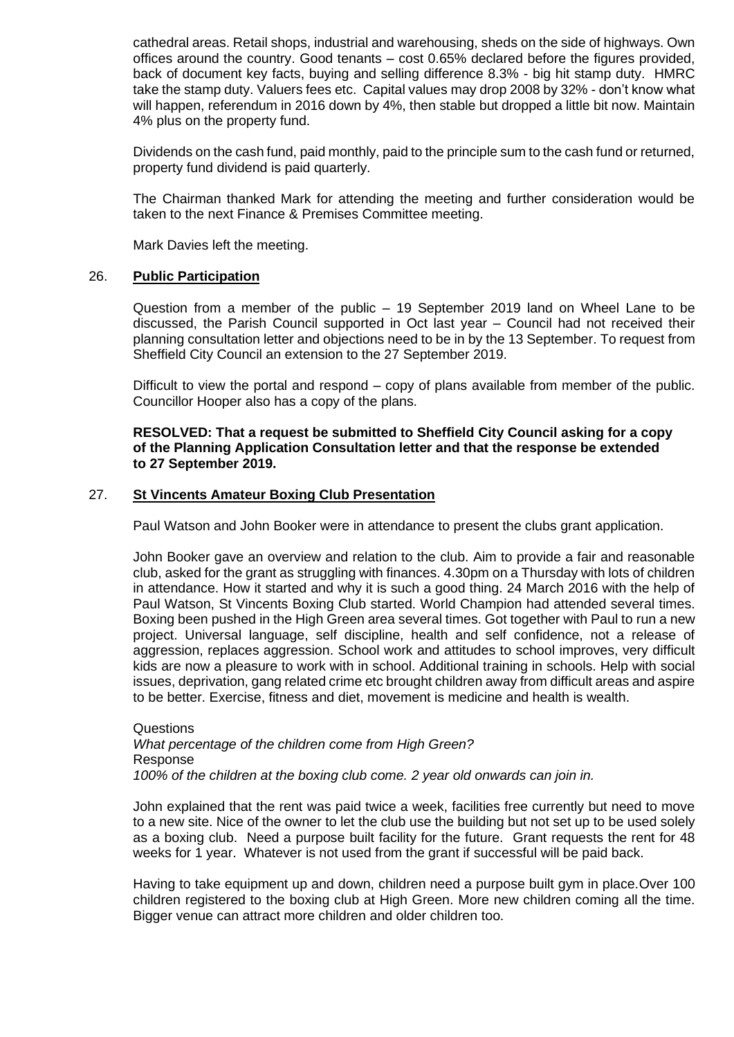cathedral areas. Retail shops, industrial and warehousing, sheds on the side of highways. Own offices around the country. Good tenants – cost 0.65% declared before the figures provided, back of document key facts, buying and selling difference 8.3% - big hit stamp duty. HMRC take the stamp duty. Valuers fees etc. Capital values may drop 2008 by 32% - don't know what will happen, referendum in 2016 down by 4%, then stable but dropped a little bit now. Maintain 4% plus on the property fund.

Dividends on the cash fund, paid monthly, paid to the principle sum to the cash fund or returned, property fund dividend is paid quarterly.

The Chairman thanked Mark for attending the meeting and further consideration would be taken to the next Finance & Premises Committee meeting.

Mark Davies left the meeting.

### 26. **Public Participation**

Question from a member of the public – 19 September 2019 land on Wheel Lane to be discussed, the Parish Council supported in Oct last year – Council had not received their planning consultation letter and objections need to be in by the 13 September. To request from Sheffield City Council an extension to the 27 September 2019.

Difficult to view the portal and respond – copy of plans available from member of the public. Councillor Hooper also has a copy of the plans.

### **RESOLVED: That a request be submitted to Sheffield City Council asking for a copy of the Planning Application Consultation letter and that the response be extended to 27 September 2019.**

## 27. **St Vincents Amateur Boxing Club Presentation**

Paul Watson and John Booker were in attendance to present the clubs grant application.

John Booker gave an overview and relation to the club. Aim to provide a fair and reasonable club, asked for the grant as struggling with finances. 4.30pm on a Thursday with lots of children in attendance. How it started and why it is such a good thing. 24 March 2016 with the help of Paul Watson, St Vincents Boxing Club started. World Champion had attended several times. Boxing been pushed in the High Green area several times. Got together with Paul to run a new project. Universal language, self discipline, health and self confidence, not a release of aggression, replaces aggression. School work and attitudes to school improves, very difficult kids are now a pleasure to work with in school. Additional training in schools. Help with social issues, deprivation, gang related crime etc brought children away from difficult areas and aspire to be better. Exercise, fitness and diet, movement is medicine and health is wealth.

Questions *What percentage of the children come from High Green?*  Response *100% of the children at the boxing club come. 2 year old onwards can join in.*

John explained that the rent was paid twice a week, facilities free currently but need to move to a new site. Nice of the owner to let the club use the building but not set up to be used solely as a boxing club. Need a purpose built facility for the future. Grant requests the rent for 48 weeks for 1 year. Whatever is not used from the grant if successful will be paid back.

Having to take equipment up and down, children need a purpose built gym in place.Over 100 children registered to the boxing club at High Green. More new children coming all the time. Bigger venue can attract more children and older children too.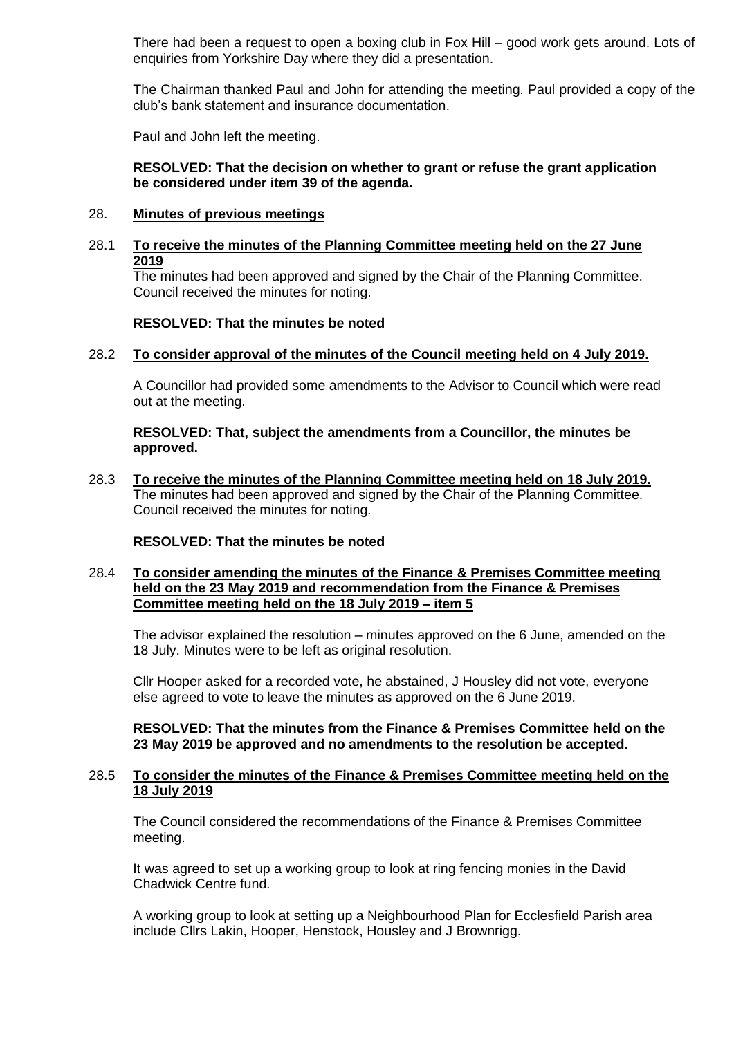There had been a request to open a boxing club in Fox Hill – good work gets around. Lots of enquiries from Yorkshire Day where they did a presentation.

The Chairman thanked Paul and John for attending the meeting. Paul provided a copy of the club's bank statement and insurance documentation.

Paul and John left the meeting.

### **RESOLVED: That the decision on whether to grant or refuse the grant application be considered under item 39 of the agenda.**

### 28. **Minutes of previous meetings**

## 28.1 **To receive the minutes of the Planning Committee meeting held on the 27 June 2019**

The minutes had been approved and signed by the Chair of the Planning Committee. Council received the minutes for noting.

### **RESOLVED: That the minutes be noted**

### 28.2 **To consider approval of the minutes of the Council meeting held on 4 July 2019.**

A Councillor had provided some amendments to the Advisor to Council which were read out at the meeting.

**RESOLVED: That, subject the amendments from a Councillor, the minutes be approved.**

28.3 **To receive the minutes of the Planning Committee meeting held on 18 July 2019.**  The minutes had been approved and signed by the Chair of the Planning Committee. Council received the minutes for noting.

#### **RESOLVED: That the minutes be noted**

## 28.4 **To consider amending the minutes of the Finance & Premises Committee meeting held on the 23 May 2019 and recommendation from the Finance & Premises Committee meeting held on the 18 July 2019 – item 5**

The advisor explained the resolution – minutes approved on the 6 June, amended on the 18 July. Minutes were to be left as original resolution.

Cllr Hooper asked for a recorded vote, he abstained, J Housley did not vote, everyone else agreed to vote to leave the minutes as approved on the 6 June 2019.

**RESOLVED: That the minutes from the Finance & Premises Committee held on the 23 May 2019 be approved and no amendments to the resolution be accepted.**

### 28.5 **To consider the minutes of the Finance & Premises Committee meeting held on the 18 July 2019**

The Council considered the recommendations of the Finance & Premises Committee meeting.

It was agreed to set up a working group to look at ring fencing monies in the David Chadwick Centre fund.

A working group to look at setting up a Neighbourhood Plan for Ecclesfield Parish area include Cllrs Lakin, Hooper, Henstock, Housley and J Brownrigg.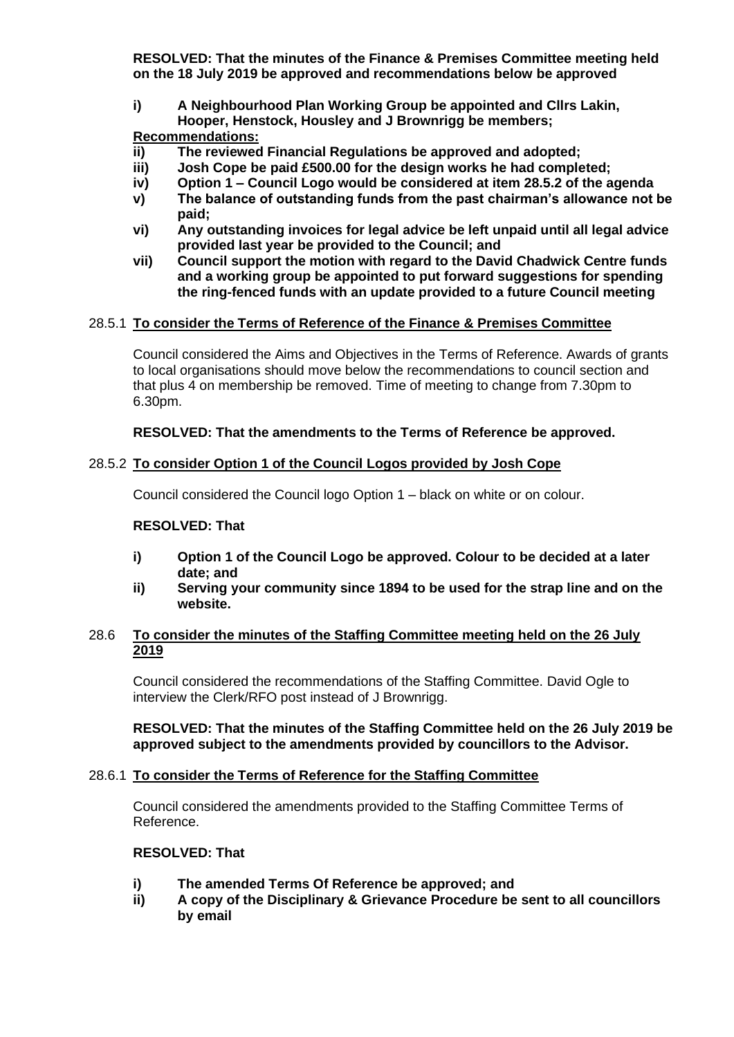**RESOLVED: That the minutes of the Finance & Premises Committee meeting held on the 18 July 2019 be approved and recommendations below be approved**

**i) A Neighbourhood Plan Working Group be appointed and Cllrs Lakin, Hooper, Henstock, Housley and J Brownrigg be members;**

## **Recommendations:**

- **ii) The reviewed Financial Regulations be approved and adopted;**
- **iii) Josh Cope be paid £500.00 for the design works he had completed;**
- **iv) Option 1 – Council Logo would be considered at item 28.5.2 of the agenda**
- **v) The balance of outstanding funds from the past chairman's allowance not be paid;**
- **vi) Any outstanding invoices for legal advice be left unpaid until all legal advice provided last year be provided to the Council; and**
- **vii) Council support the motion with regard to the David Chadwick Centre funds and a working group be appointed to put forward suggestions for spending the ring-fenced funds with an update provided to a future Council meeting**

## 28.5.1 **To consider the Terms of Reference of the Finance & Premises Committee**

Council considered the Aims and Objectives in the Terms of Reference. Awards of grants to local organisations should move below the recommendations to council section and that plus 4 on membership be removed. Time of meeting to change from 7.30pm to 6.30pm.

## **RESOLVED: That the amendments to the Terms of Reference be approved.**

# 28.5.2 **To consider Option 1 of the Council Logos provided by Josh Cope**

Council considered the Council logo Option 1 – black on white or on colour.

## **RESOLVED: That**

- **i) Option 1 of the Council Logo be approved. Colour to be decided at a later date; and**
- **ii) Serving your community since 1894 to be used for the strap line and on the website.**

### 28.6 **To consider the minutes of the Staffing Committee meeting held on the 26 July 2019**

Council considered the recommendations of the Staffing Committee. David Ogle to interview the Clerk/RFO post instead of J Brownrigg.

### **RESOLVED: That the minutes of the Staffing Committee held on the 26 July 2019 be approved subject to the amendments provided by councillors to the Advisor.**

## 28.6.1 **To consider the Terms of Reference for the Staffing Committee**

Council considered the amendments provided to the Staffing Committee Terms of Reference.

## **RESOLVED: That**

- **i) The amended Terms Of Reference be approved; and**
- **ii) A copy of the Disciplinary & Grievance Procedure be sent to all councillors by email**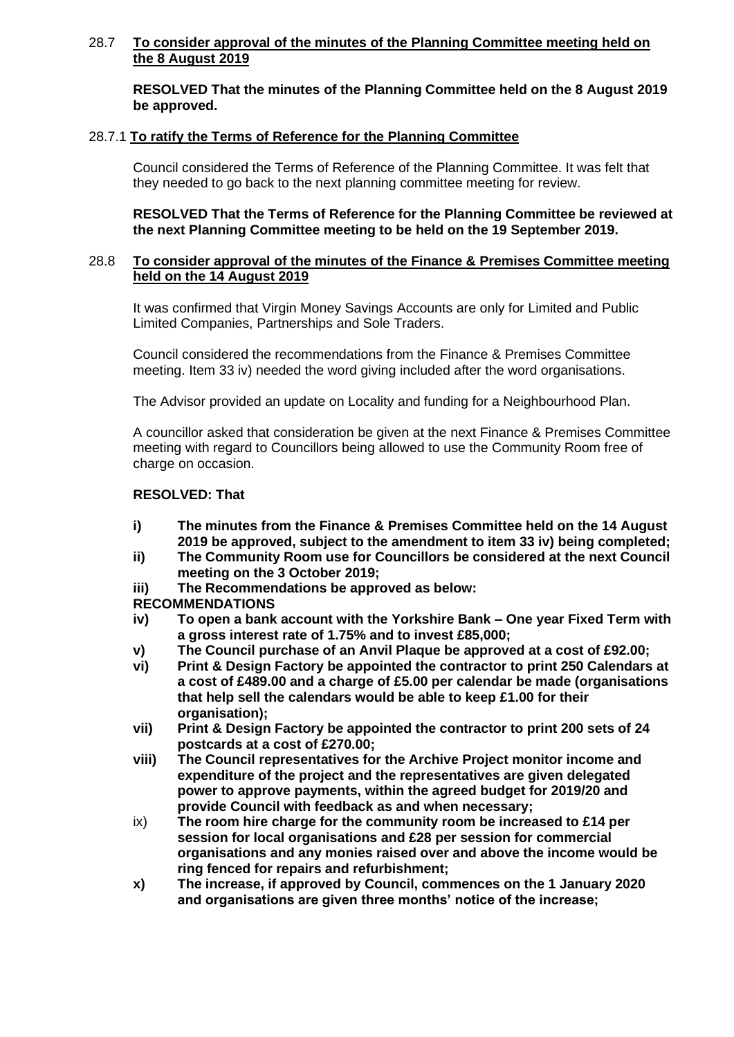## 28.7 **To consider approval of the minutes of the Planning Committee meeting held on the 8 August 2019**

**RESOLVED That the minutes of the Planning Committee held on the 8 August 2019 be approved.**

## 28.7.1 **To ratify the Terms of Reference for the Planning Committee**

Council considered the Terms of Reference of the Planning Committee. It was felt that they needed to go back to the next planning committee meeting for review.

**RESOLVED That the Terms of Reference for the Planning Committee be reviewed at the next Planning Committee meeting to be held on the 19 September 2019.**

## 28.8 **To consider approval of the minutes of the Finance & Premises Committee meeting held on the 14 August 2019**

It was confirmed that Virgin Money Savings Accounts are only for Limited and Public Limited Companies, Partnerships and Sole Traders.

Council considered the recommendations from the Finance & Premises Committee meeting. Item 33 iv) needed the word giving included after the word organisations.

The Advisor provided an update on Locality and funding for a Neighbourhood Plan.

A councillor asked that consideration be given at the next Finance & Premises Committee meeting with regard to Councillors being allowed to use the Community Room free of charge on occasion.

### **RESOLVED: That**

- **i) The minutes from the Finance & Premises Committee held on the 14 August 2019 be approved, subject to the amendment to item 33 iv) being completed;**
- **ii) The Community Room use for Councillors be considered at the next Council meeting on the 3 October 2019;**
- **iii) The Recommendations be approved as below:**

## **RECOMMENDATIONS**

- **iv) To open a bank account with the Yorkshire Bank – One year Fixed Term with a gross interest rate of 1.75% and to invest £85,000;**
- **v) The Council purchase of an Anvil Plaque be approved at a cost of £92.00;**
- **vi) Print & Design Factory be appointed the contractor to print 250 Calendars at a cost of £489.00 and a charge of £5.00 per calendar be made (organisations that help sell the calendars would be able to keep £1.00 for their organisation);**
- **vii) Print & Design Factory be appointed the contractor to print 200 sets of 24 postcards at a cost of £270.00;**
- **viii) The Council representatives for the Archive Project monitor income and expenditure of the project and the representatives are given delegated power to approve payments, within the agreed budget for 2019/20 and provide Council with feedback as and when necessary;**
- ix) **The room hire charge for the community room be increased to £14 per session for local organisations and £28 per session for commercial organisations and any monies raised over and above the income would be ring fenced for repairs and refurbishment;**
- **x) The increase, if approved by Council, commences on the 1 January 2020 and organisations are given three months' notice of the increase;**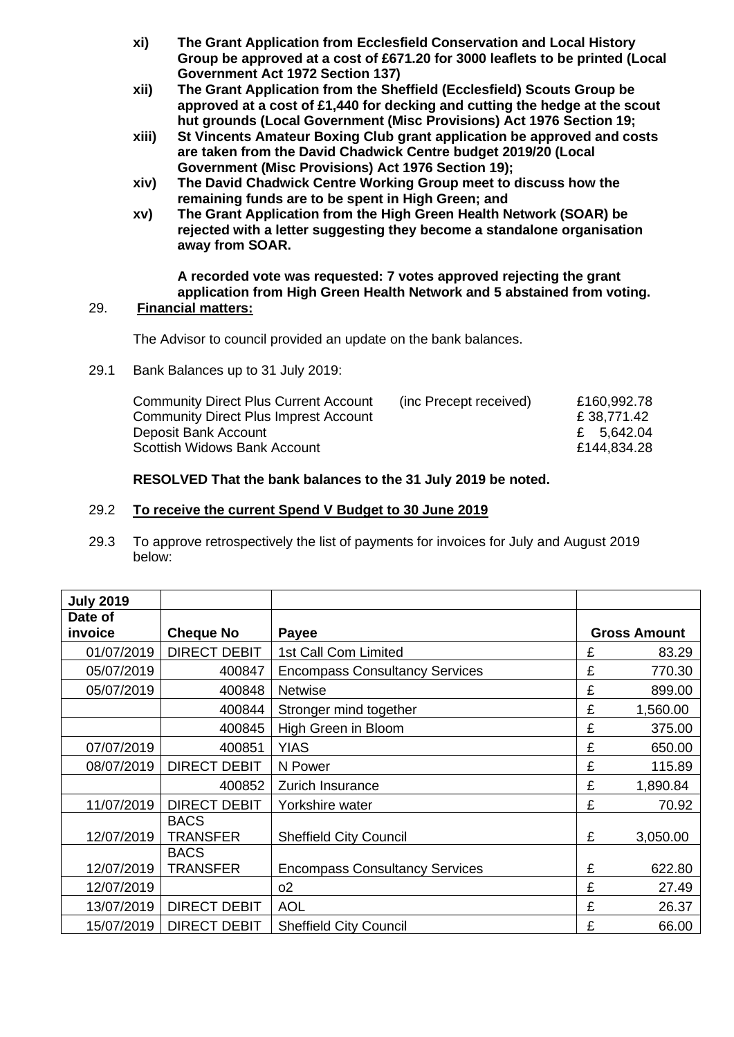- **xi) The Grant Application from Ecclesfield Conservation and Local History Group be approved at a cost of £671.20 for 3000 leaflets to be printed (Local Government Act 1972 Section 137)**
- **xii) The Grant Application from the Sheffield (Ecclesfield) Scouts Group be approved at a cost of £1,440 for decking and cutting the hedge at the scout hut grounds (Local Government (Misc Provisions) Act 1976 Section 19;**
- **xiii) St Vincents Amateur Boxing Club grant application be approved and costs are taken from the David Chadwick Centre budget 2019/20 (Local Government (Misc Provisions) Act 1976 Section 19);**
- **xiv) The David Chadwick Centre Working Group meet to discuss how the remaining funds are to be spent in High Green; and**
- **xv) The Grant Application from the High Green Health Network (SOAR) be rejected with a letter suggesting they become a standalone organisation away from SOAR.**

#### **A recorded vote was requested: 7 votes approved rejecting the grant application from High Green Health Network and 5 abstained from voting.** 29. **Financial matters:**

The Advisor to council provided an update on the bank balances.

29.1 Bank Balances up to 31 July 2019:

| <b>Community Direct Plus Current Account</b><br><b>Community Direct Plus Imprest Account</b> | (inc Precept received) | £160,992.78<br>£ 38,771.42 |
|----------------------------------------------------------------------------------------------|------------------------|----------------------------|
| Deposit Bank Account                                                                         |                        | £ 5,642.04                 |
| Scottish Widows Bank Account                                                                 |                        | £144,834.28                |

# **RESOLVED That the bank balances to the 31 July 2019 be noted.**

# 29.2 **To receive the current Spend V Budget to 30 June 2019**

29.3 To approve retrospectively the list of payments for invoices for July and August 2019 below:

| <b>July 2019</b> |                                |                                       |   |                     |
|------------------|--------------------------------|---------------------------------------|---|---------------------|
| Date of          |                                |                                       |   |                     |
| invoice          | <b>Cheque No</b>               | <b>Payee</b>                          |   | <b>Gross Amount</b> |
| 01/07/2019       | <b>DIRECT DEBIT</b>            | 1st Call Com Limited                  | £ | 83.29               |
| 05/07/2019       | 400847                         | <b>Encompass Consultancy Services</b> | £ | 770.30              |
| 05/07/2019       | 400848                         | <b>Netwise</b>                        | £ | 899.00              |
|                  | 400844                         | Stronger mind together                | £ | 1,560.00            |
|                  | 400845                         | High Green in Bloom                   | £ | 375.00              |
| 07/07/2019       | 400851                         | <b>YIAS</b>                           | £ | 650.00              |
| 08/07/2019       | <b>DIRECT DEBIT</b>            | N Power                               | £ | 115.89              |
|                  | 400852                         | Zurich Insurance                      | £ | 1,890.84            |
| 11/07/2019       | <b>DIRECT DEBIT</b>            | Yorkshire water                       | £ | 70.92               |
| 12/07/2019       | <b>BACS</b><br><b>TRANSFER</b> | <b>Sheffield City Council</b>         | £ | 3,050.00            |
|                  | <b>BACS</b>                    |                                       |   |                     |
| 12/07/2019       | <b>TRANSFER</b>                | <b>Encompass Consultancy Services</b> | £ | 622.80              |
| 12/07/2019       |                                | 02                                    | £ | 27.49               |
| 13/07/2019       | <b>DIRECT DEBIT</b>            | <b>AOL</b>                            | £ | 26.37               |
| 15/07/2019       | <b>DIRECT DEBIT</b>            | <b>Sheffield City Council</b>         | £ | 66.00               |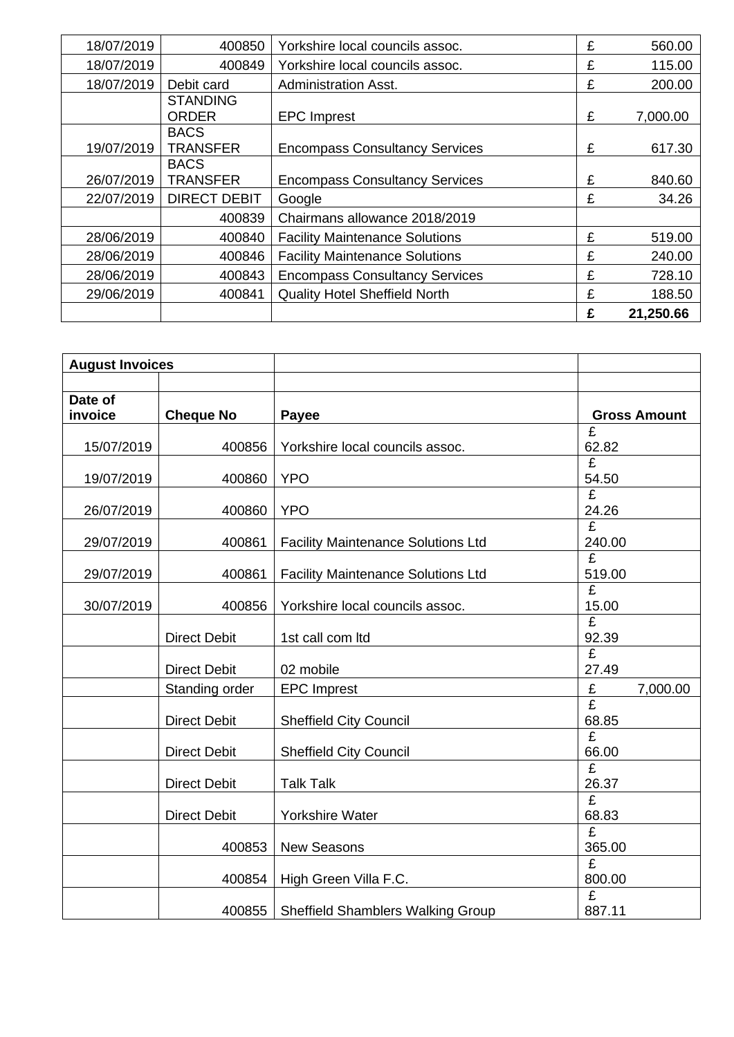| 18/07/2019 | 400850                          | Yorkshire local councils assoc.       | £ | 560.00    |
|------------|---------------------------------|---------------------------------------|---|-----------|
| 18/07/2019 | 400849                          | Yorkshire local councils assoc.       | £ | 115.00    |
| 18/07/2019 | Debit card                      | <b>Administration Asst.</b>           | £ | 200.00    |
|            | <b>STANDING</b><br><b>ORDER</b> | <b>EPC</b> Imprest                    | £ | 7,000.00  |
| 19/07/2019 | <b>BACS</b><br><b>TRANSFER</b>  | <b>Encompass Consultancy Services</b> | £ | 617.30    |
| 26/07/2019 | <b>BACS</b><br><b>TRANSFER</b>  | <b>Encompass Consultancy Services</b> | £ | 840.60    |
| 22/07/2019 | <b>DIRECT DEBIT</b>             | Google                                | £ | 34.26     |
|            | 400839                          | Chairmans allowance 2018/2019         |   |           |
| 28/06/2019 | 400840                          | <b>Facility Maintenance Solutions</b> | £ | 519.00    |
| 28/06/2019 | 400846                          | <b>Facility Maintenance Solutions</b> | £ | 240.00    |
| 28/06/2019 | 400843                          | <b>Encompass Consultancy Services</b> | £ | 728.10    |
| 29/06/2019 | 400841                          | <b>Quality Hotel Sheffield North</b>  | £ | 188.50    |
|            |                                 |                                       | £ | 21,250.66 |

| <b>August Invoices</b> |                     |                                           |                       |
|------------------------|---------------------|-------------------------------------------|-----------------------|
|                        |                     |                                           |                       |
| Date of                |                     |                                           |                       |
| invoice                | <b>Cheque No</b>    | <b>Payee</b>                              | <b>Gross Amount</b>   |
|                        |                     |                                           | £                     |
| 15/07/2019             | 400856              | Yorkshire local councils assoc.           | 62.82                 |
|                        |                     |                                           | £                     |
| 19/07/2019             | 400860              | <b>YPO</b>                                | 54.50                 |
|                        |                     |                                           | $\overline{f}$        |
| 26/07/2019             | 400860              | <b>YPO</b>                                | 24.26                 |
|                        |                     |                                           | £                     |
| 29/07/2019             | 400861              | <b>Facility Maintenance Solutions Ltd</b> | 240.00                |
|                        |                     |                                           | £                     |
| 29/07/2019             | 400861              | <b>Facility Maintenance Solutions Ltd</b> | 519.00                |
|                        |                     |                                           | £                     |
| 30/07/2019             | 400856              | Yorkshire local councils assoc.           | 15.00                 |
|                        |                     |                                           | £                     |
|                        | <b>Direct Debit</b> | 1st call com ltd                          | 92.39                 |
|                        |                     |                                           | £                     |
|                        | <b>Direct Debit</b> | 02 mobile                                 | 27.49                 |
|                        | Standing order      | <b>EPC Imprest</b>                        | $\pounds$<br>7,000.00 |
|                        |                     |                                           | $\overline{f}$        |
|                        | <b>Direct Debit</b> | <b>Sheffield City Council</b>             | 68.85                 |
|                        |                     |                                           | £                     |
|                        | <b>Direct Debit</b> | <b>Sheffield City Council</b>             | 66.00                 |
|                        |                     |                                           | £                     |
|                        | <b>Direct Debit</b> | <b>Talk Talk</b>                          | 26.37                 |
|                        |                     |                                           | £                     |
|                        | <b>Direct Debit</b> | <b>Yorkshire Water</b>                    | 68.83                 |
|                        |                     |                                           | £                     |
|                        | 400853              | <b>New Seasons</b>                        | 365.00                |
|                        |                     |                                           | £                     |
|                        | 400854              | High Green Villa F.C.                     | 800.00                |
|                        |                     |                                           | £                     |
|                        | 400855              | <b>Sheffield Shamblers Walking Group</b>  | 887.11                |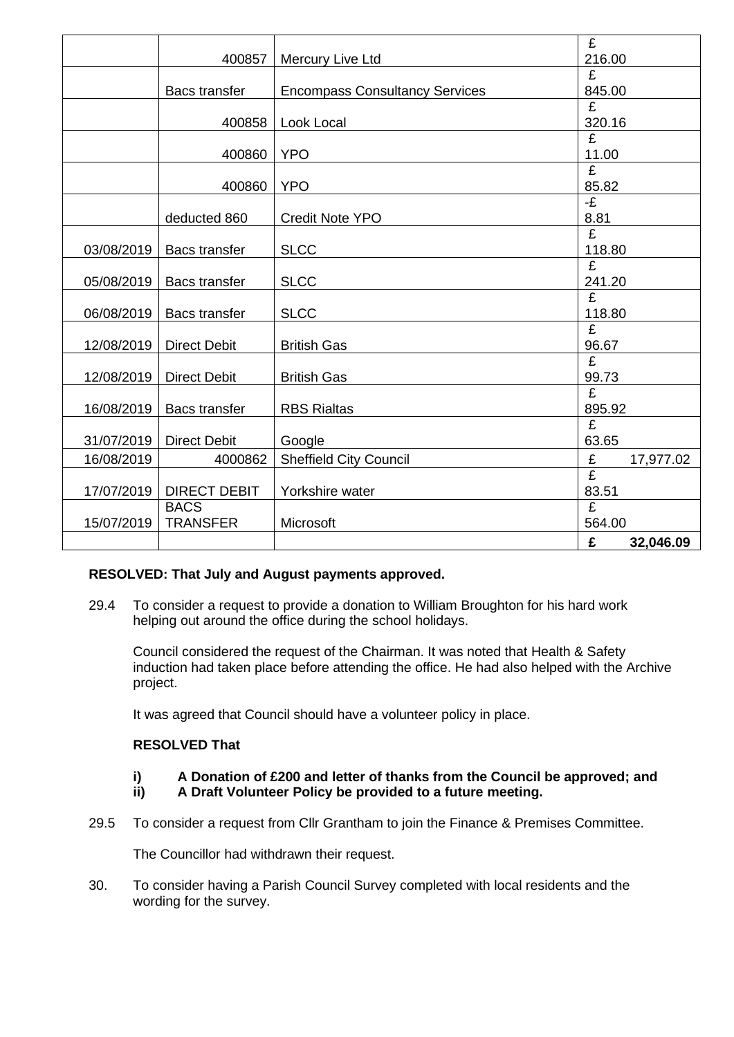|            |                      |                                       | £              |
|------------|----------------------|---------------------------------------|----------------|
|            | 400857               | Mercury Live Ltd                      | 216.00         |
|            |                      |                                       | £              |
|            | <b>Bacs transfer</b> | <b>Encompass Consultancy Services</b> | 845.00         |
|            |                      |                                       | £              |
|            | 400858               | Look Local                            | 320.16         |
|            |                      |                                       | £              |
|            | 400860               | <b>YPO</b>                            | 11.00          |
|            |                      |                                       | $\overline{f}$ |
|            | 400860               | <b>YPO</b>                            | 85.82          |
|            |                      |                                       | -£             |
|            | deducted 860         | <b>Credit Note YPO</b>                | 8.81           |
|            |                      |                                       | $\overline{f}$ |
| 03/08/2019 | <b>Bacs transfer</b> | <b>SLCC</b>                           | 118.80         |
|            |                      |                                       | £              |
| 05/08/2019 | <b>Bacs transfer</b> | <b>SLCC</b>                           | 241.20         |
|            |                      |                                       | $\overline{f}$ |
| 06/08/2019 | <b>Bacs transfer</b> | <b>SLCC</b>                           | 118.80         |
|            |                      |                                       | £              |
| 12/08/2019 | <b>Direct Debit</b>  | <b>British Gas</b>                    | 96.67          |
|            |                      |                                       | £              |
| 12/08/2019 | <b>Direct Debit</b>  | <b>British Gas</b>                    | 99.73          |
|            |                      |                                       | £              |
| 16/08/2019 | <b>Bacs transfer</b> | <b>RBS Rialtas</b>                    | 895.92         |
|            |                      |                                       | £              |
| 31/07/2019 | <b>Direct Debit</b>  | Google                                | 63.65          |
| 16/08/2019 | 4000862              | <b>Sheffield City Council</b>         | £<br>17,977.02 |
|            |                      |                                       | £              |
| 17/07/2019 | <b>DIRECT DEBIT</b>  | Yorkshire water                       | 83.51          |
|            | <b>BACS</b>          |                                       | $\overline{f}$ |
| 15/07/2019 | <b>TRANSFER</b>      | Microsoft                             | 564.00         |
|            |                      |                                       | £<br>32,046.09 |

## **RESOLVED: That July and August payments approved.**

29.4 To consider a request to provide a donation to William Broughton for his hard work helping out around the office during the school holidays.

Council considered the request of the Chairman. It was noted that Health & Safety induction had taken place before attending the office. He had also helped with the Archive project.

It was agreed that Council should have a volunteer policy in place.

## **RESOLVED That**

- **i) A Donation of £200 and letter of thanks from the Council be approved; and**
- **ii) A Draft Volunteer Policy be provided to a future meeting.**
- 29.5 To consider a request from Cllr Grantham to join the Finance & Premises Committee.

The Councillor had withdrawn their request.

30. To consider having a Parish Council Survey completed with local residents and the wording for the survey.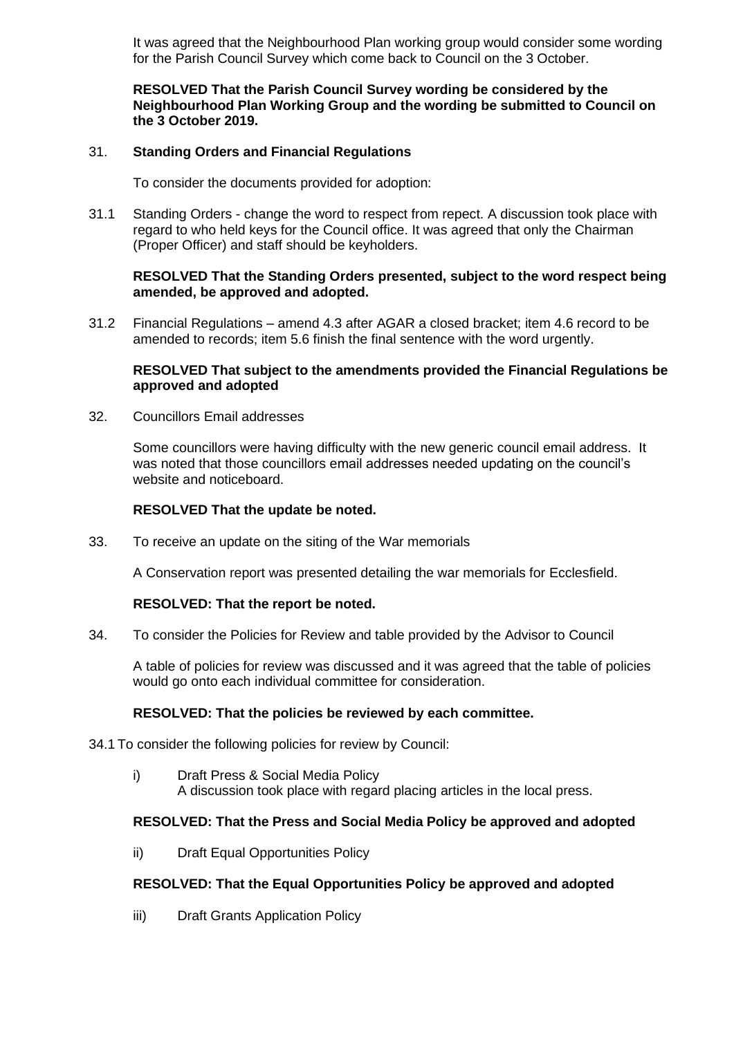It was agreed that the Neighbourhood Plan working group would consider some wording for the Parish Council Survey which come back to Council on the 3 October.

## **RESOLVED That the Parish Council Survey wording be considered by the Neighbourhood Plan Working Group and the wording be submitted to Council on the 3 October 2019.**

## 31. **Standing Orders and Financial Regulations**

To consider the documents provided for adoption:

31.1 Standing Orders - change the word to respect from repect. A discussion took place with regard to who held keys for the Council office. It was agreed that only the Chairman (Proper Officer) and staff should be keyholders.

## **RESOLVED That the Standing Orders presented, subject to the word respect being amended, be approved and adopted.**

31.2 Financial Regulations – amend 4.3 after AGAR a closed bracket; item 4.6 record to be amended to records; item 5.6 finish the final sentence with the word urgently.

### **RESOLVED That subject to the amendments provided the Financial Regulations be approved and adopted**

32. Councillors Email addresses

Some councillors were having difficulty with the new generic council email address. It was noted that those councillors email addresses needed updating on the council's website and noticeboard.

## **RESOLVED That the update be noted.**

33. To receive an update on the siting of the War memorials

A Conservation report was presented detailing the war memorials for Ecclesfield.

## **RESOLVED: That the report be noted.**

34. To consider the Policies for Review and table provided by the Advisor to Council

A table of policies for review was discussed and it was agreed that the table of policies would go onto each individual committee for consideration.

#### **RESOLVED: That the policies be reviewed by each committee.**

34.1 To consider the following policies for review by Council:

i) Draft Press & Social Media Policy A discussion took place with regard placing articles in the local press.

## **RESOLVED: That the Press and Social Media Policy be approved and adopted**

ii) Draft Equal Opportunities Policy

## **RESOLVED: That the Equal Opportunities Policy be approved and adopted**

iii) Draft Grants Application Policy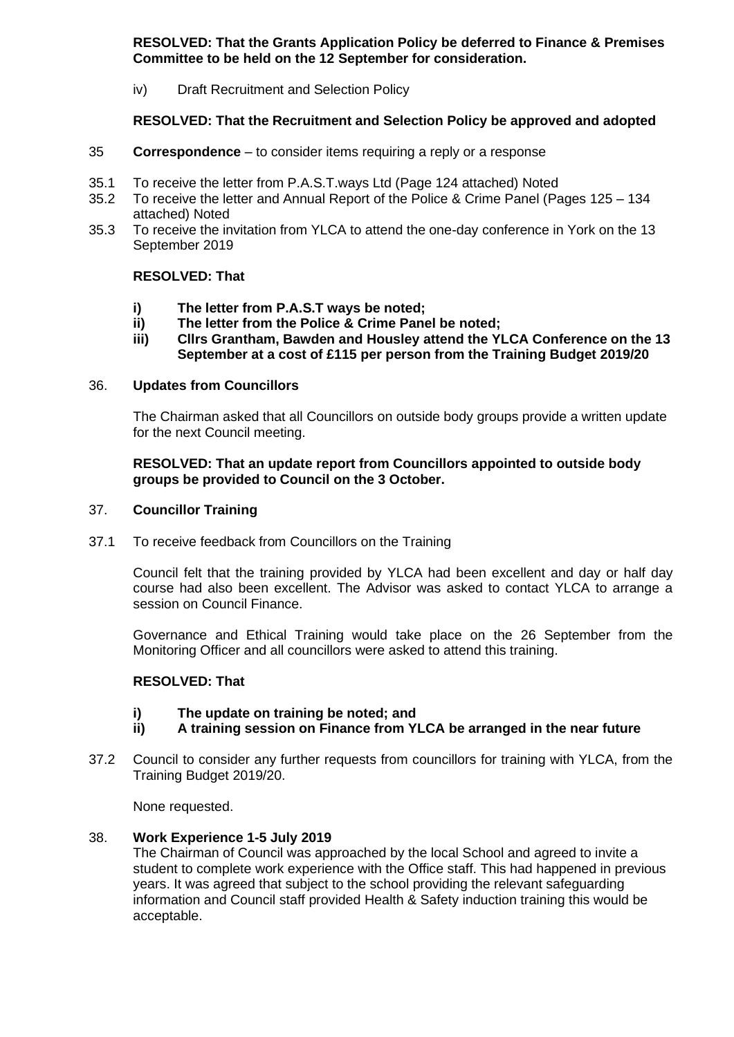**RESOLVED: That the Grants Application Policy be deferred to Finance & Premises Committee to be held on the 12 September for consideration.**

iv) Draft Recruitment and Selection Policy

# **RESOLVED: That the Recruitment and Selection Policy be approved and adopted**

- 35 **Correspondence** to consider items requiring a reply or a response
- 35.1 To receive the letter from P.A.S.T.ways Ltd (Page 124 attached) Noted
- 35.2 To receive the letter and Annual Report of the Police & Crime Panel (Pages 125 134 attached) Noted
- 35.3 To receive the invitation from YLCA to attend the one-day conference in York on the 13 September 2019

# **RESOLVED: That**

- **i) The letter from P.A.S.T ways be noted;**
- **ii) The letter from the Police & Crime Panel be noted;**
- **iii) Cllrs Grantham, Bawden and Housley attend the YLCA Conference on the 13 September at a cost of £115 per person from the Training Budget 2019/20**

## 36. **Updates from Councillors**

The Chairman asked that all Councillors on outside body groups provide a written update for the next Council meeting.

## **RESOLVED: That an update report from Councillors appointed to outside body groups be provided to Council on the 3 October.**

## 37. **Councillor Training**

37.1 To receive feedback from Councillors on the Training

Council felt that the training provided by YLCA had been excellent and day or half day course had also been excellent. The Advisor was asked to contact YLCA to arrange a session on Council Finance.

Governance and Ethical Training would take place on the 26 September from the Monitoring Officer and all councillors were asked to attend this training.

## **RESOLVED: That**

- **i) The update on training be noted; and**
- **ii) A training session on Finance from YLCA be arranged in the near future**
- 37.2 Council to consider any further requests from councillors for training with YLCA, from the Training Budget 2019/20.

None requested.

## 38. **Work Experience 1-5 July 2019**

The Chairman of Council was approached by the local School and agreed to invite a student to complete work experience with the Office staff. This had happened in previous years. It was agreed that subject to the school providing the relevant safeguarding information and Council staff provided Health & Safety induction training this would be acceptable.